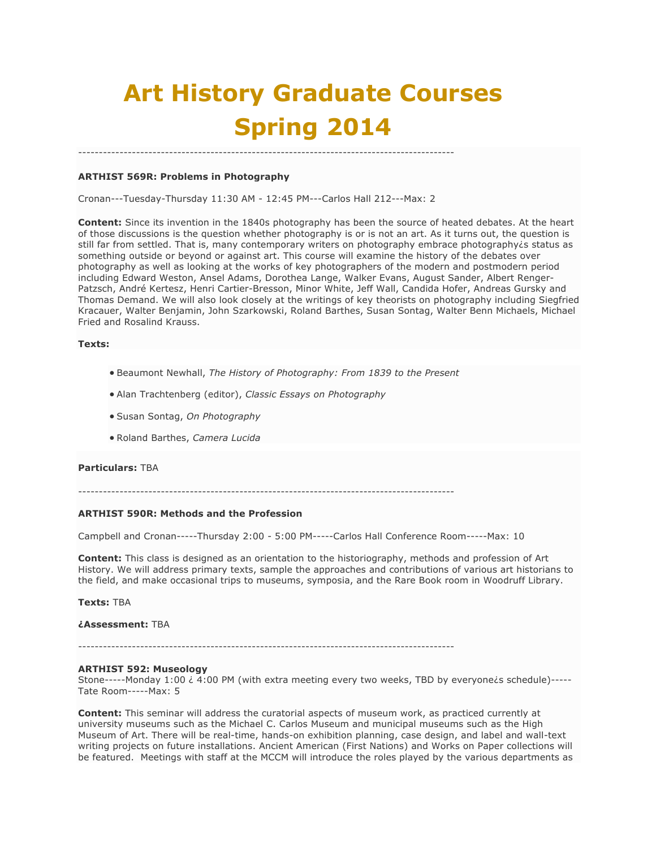# **Art History Graduate Courses Spring 2014**

## **ARTHIST 569R: Problems in Photography**

Cronan---Tuesday-Thursday 11:30 AM - 12:45 PM---Carlos Hall 212---Max: 2

-------------------------------------------------------------------------------------------

**Content:** Since its invention in the 1840s photography has been the source of heated debates. At the heart of those discussions is the question whether photography is or is not an art. As it turns out, the question is still far from settled. That is, many contemporary writers on photography embrace photography is status as something outside or beyond or against art. This course will examine the history of the debates over photography as well as looking at the works of key photographers of the modern and postmodern period including Edward Weston, Ansel Adams, Dorothea Lange, Walker Evans, August Sander, Albert Renger-Patzsch, André Kertesz, Henri Cartier-Bresson, Minor White, Jeff Wall, Candida Hofer, Andreas Gursky and Thomas Demand. We will also look closely at the writings of key theorists on photography including Siegfried Kracauer, Walter Benjamin, John Szarkowski, Roland Barthes, Susan Sontag, Walter Benn Michaels, Michael Fried and Rosalind Krauss.

## **Texts:**

- Beaumont Newhall, *The History of Photography: From 1839 to the Present*
- Alan Trachtenberg (editor), *Classic Essays on Photography*
- Susan Sontag, *On Photography*
- Roland Barthes, *Camera Lucida*

#### **Particulars:** TBA

-------------------------------------------------------------------------------------------

#### **ARTHIST 590R: Methods and the Profession**

Campbell and Cronan-----Thursday 2:00 - 5:00 PM-----Carlos Hall Conference Room-----Max: 10

**Content:** This class is designed as an orientation to the historiography, methods and profession of Art History. We will address primary texts, sample the approaches and contributions of various art historians to the field, and make occasional trips to museums, symposia, and the Rare Book room in Woodruff Library.

**Texts:** TBA

**¿Assessment:** TBA

#### **ARTHIST 592: Museology**

Stone-----Monday 1:00  $\dot{\epsilon}$  4:00 PM (with extra meeting every two weeks, TBD by everyone is schedule)-----Tate Room-----Max: 5

**Content:** This seminar will address the curatorial aspects of museum work, as practiced currently at university museums such as the Michael C. Carlos Museum and municipal museums such as the High Museum of Art. There will be real-time, hands-on exhibition planning, case design, and label and wall-text writing projects on future installations. Ancient American (First Nations) and Works on Paper collections will be featured. Meetings with staff at the MCCM will introduce the roles played by the various departments as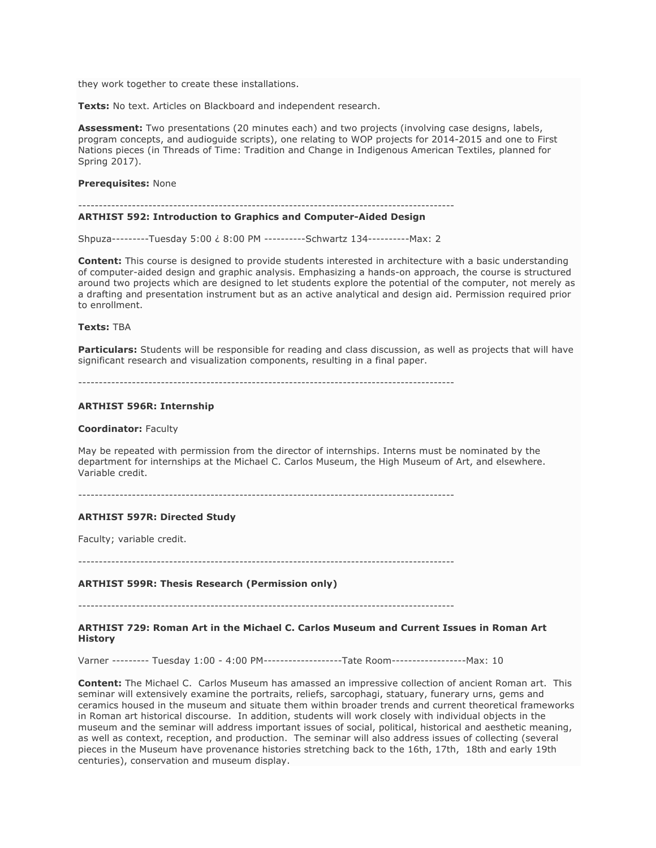they work together to create these installations.

**Texts:** No text. Articles on Blackboard and independent research.

**Assessment:** Two presentations (20 minutes each) and two projects (involving case designs, labels, program concepts, and audioguide scripts), one relating to WOP projects for 2014-2015 and one to First Nations pieces (in Threads of Time: Tradition and Change in Indigenous American Textiles, planned for Spring 2017).

#### **Prerequisites:** None

#### -------------------------------------------------------------------------------------------

## **ARTHIST 592: Introduction to Graphics and Computer-Aided Design**

Shpuza---------Tuesday 5:00 ¿ 8:00 PM ----------Schwartz 134----------Max: 2

**Content:** This course is designed to provide students interested in architecture with a basic understanding of computer-aided design and graphic analysis. Emphasizing a hands-on approach, the course is structured around two projects which are designed to let students explore the potential of the computer, not merely as a drafting and presentation instrument but as an active analytical and design aid. Permission required prior to enrollment.

## **Texts:** TBA

**Particulars:** Students will be responsible for reading and class discussion, as well as projects that will have significant research and visualization components, resulting in a final paper.

-------------------------------------------------------------------------------------------

#### **ARTHIST 596R: Internship**

#### **Coordinator:** Faculty

May be repeated with permission from the director of internships. Interns must be nominated by the department for internships at the Michael C. Carlos Museum, the High Museum of Art, and elsewhere. Variable credit.

-------------------------------------------------------------------------------------------

## **ARTHIST 597R: Directed Study**

Faculty; variable credit.

-------------------------------------------------------------------------------------------

#### **ARTHIST 599R: Thesis Research (Permission only)**

-------------------------------------------------------------------------------------------

## **ARTHIST 729: Roman Art in the Michael C. Carlos Museum and Current Issues in Roman Art History**

Varner --------- Tuesday 1:00 - 4:00 PM-------------------Tate Room------------------Max: 10

**Content:** The Michael C. Carlos Museum has amassed an impressive collection of ancient Roman art. This seminar will extensively examine the portraits, reliefs, sarcophagi, statuary, funerary urns, gems and ceramics housed in the museum and situate them within broader trends and current theoretical frameworks in Roman art historical discourse. In addition, students will work closely with individual objects in the museum and the seminar will address important issues of social, political, historical and aesthetic meaning, as well as context, reception, and production. The seminar will also address issues of collecting (several pieces in the Museum have provenance histories stretching back to the 16th, 17th, 18th and early 19th centuries), conservation and museum display.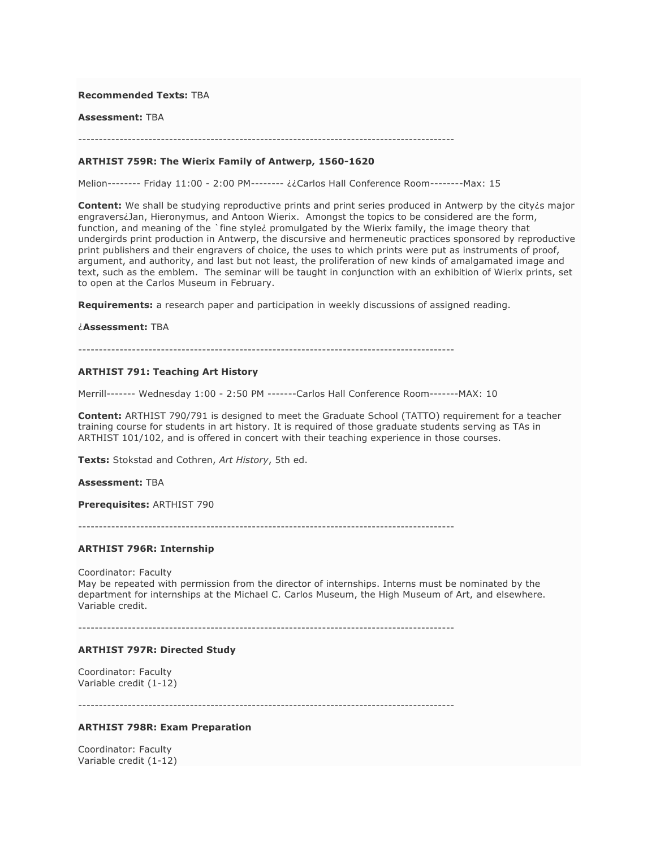## **Recommended Texts:** TBA

#### **Assessment:** TBA

-------------------------------------------------------------------------------------------

## **ARTHIST 759R: The Wierix Family of Antwerp, 1560-1620**

Melion-------- Friday 11:00 - 2:00 PM-------- ¿¿Carlos Hall Conference Room--------Max: 15

**Content:** We shall be studying reproductive prints and print series produced in Antwerp by the city*is* major engravers¿Jan, Hieronymus, and Antoon Wierix. Amongst the topics to be considered are the form, function, and meaning of the `fine style¿ promulgated by the Wierix family, the image theory that undergirds print production in Antwerp, the discursive and hermeneutic practices sponsored by reproductive print publishers and their engravers of choice, the uses to which prints were put as instruments of proof, argument, and authority, and last but not least, the proliferation of new kinds of amalgamated image and text, such as the emblem. The seminar will be taught in conjunction with an exhibition of Wierix prints, set to open at the Carlos Museum in February.

**Requirements:** a research paper and participation in weekly discussions of assigned reading.

#### ¿**Assessment:** TBA

-------------------------------------------------------------------------------------------

#### **ARTHIST 791: Teaching Art History**

Merrill------- Wednesday 1:00 - 2:50 PM -------Carlos Hall Conference Room-------MAX: 10

**Content:** ARTHIST 790/791 is designed to meet the Graduate School (TATTO) requirement for a teacher training course for students in art history. It is required of those graduate students serving as TAs in ARTHIST 101/102, and is offered in concert with their teaching experience in those courses.

**Texts:** Stokstad and Cothren, *Art History*, 5th ed.

#### **Assessment:** TBA

**Prerequisites:** ARTHIST 790

-------------------------------------------------------------------------------------------

## **ARTHIST 796R: Internship**

Coordinator: Faculty

May be repeated with permission from the director of internships. Interns must be nominated by the department for internships at the Michael C. Carlos Museum, the High Museum of Art, and elsewhere. Variable credit.

-------------------------------------------------------------------------------------------

## **ARTHIST 797R: Directed Study**

Coordinator: Faculty Variable credit (1-12)

-------------------------------------------------------------------------------------------

## **ARTHIST 798R: Exam Preparation**

Coordinator: Faculty Variable credit (1-12)